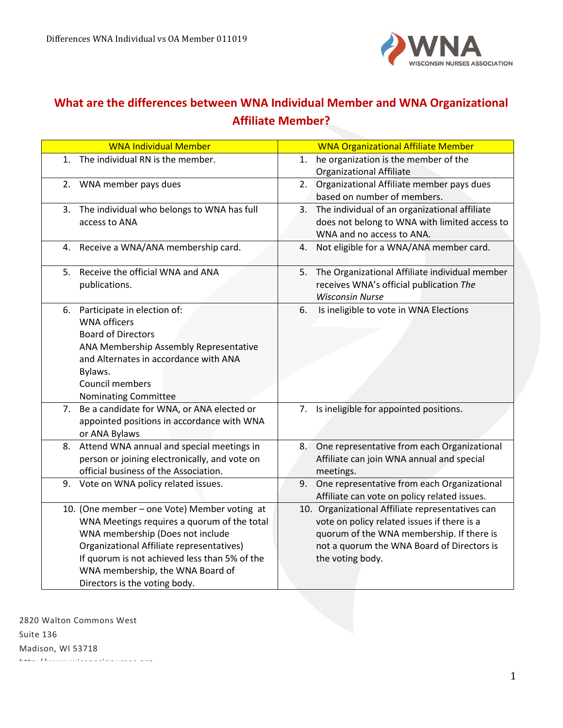

## **What are the differences between WNA Individual Member and WNA Organizational Affiliate Member?**

| <b>WNA Individual Member</b>                                                                                                                                                                                                                                                                       | <b>WNA Organizational Affiliate Member</b>                                                                                                                                                                     |
|----------------------------------------------------------------------------------------------------------------------------------------------------------------------------------------------------------------------------------------------------------------------------------------------------|----------------------------------------------------------------------------------------------------------------------------------------------------------------------------------------------------------------|
| The individual RN is the member.<br>$1_{-}$                                                                                                                                                                                                                                                        | he organization is the member of the<br>1.<br><b>Organizational Affiliate</b>                                                                                                                                  |
| WNA member pays dues<br>2.                                                                                                                                                                                                                                                                         | Organizational Affiliate member pays dues<br>2.<br>based on number of members.                                                                                                                                 |
| The individual who belongs to WNA has full<br>3.<br>access to ANA                                                                                                                                                                                                                                  | The individual of an organizational affiliate<br>3.<br>does not belong to WNA with limited access to<br>WNA and no access to ANA.                                                                              |
| 4. Receive a WNA/ANA membership card.                                                                                                                                                                                                                                                              | Not eligible for a WNA/ANA member card.<br>4.                                                                                                                                                                  |
| Receive the official WNA and ANA<br>5.<br>publications.                                                                                                                                                                                                                                            | The Organizational Affiliate individual member<br>5.<br>receives WNA's official publication The<br><b>Wisconsin Nurse</b>                                                                                      |
| Participate in election of:<br>6.<br><b>WNA</b> officers<br><b>Board of Directors</b><br>ANA Membership Assembly Representative<br>and Alternates in accordance with ANA<br>Bylaws.<br>Council members<br>Nominating Committee                                                                     | Is ineligible to vote in WNA Elections<br>6.                                                                                                                                                                   |
| Be a candidate for WNA, or ANA elected or<br>7.<br>appointed positions in accordance with WNA<br>or ANA Bylaws                                                                                                                                                                                     | 7. Is ineligible for appointed positions.                                                                                                                                                                      |
| Attend WNA annual and special meetings in<br>8.<br>person or joining electronically, and vote on<br>official business of the Association.                                                                                                                                                          | One representative from each Organizational<br>8.<br>Affiliate can join WNA annual and special<br>meetings.                                                                                                    |
| 9. Vote on WNA policy related issues.                                                                                                                                                                                                                                                              | 9. One representative from each Organizational<br>Affiliate can vote on policy related issues.                                                                                                                 |
| 10. (One member - one Vote) Member voting at<br>WNA Meetings requires a quorum of the total<br>WNA membership (Does not include<br>Organizational Affiliate representatives)<br>If quorum is not achieved less than 5% of the<br>WNA membership, the WNA Board of<br>Directors is the voting body. | 10. Organizational Affiliate representatives can<br>vote on policy related issues if there is a<br>quorum of the WNA membership. If there is<br>not a quorum the WNA Board of Directors is<br>the voting body. |

2820 Walton Commons West Suite 136 Madison, WI 53718 http://www.wisconsinnurses.org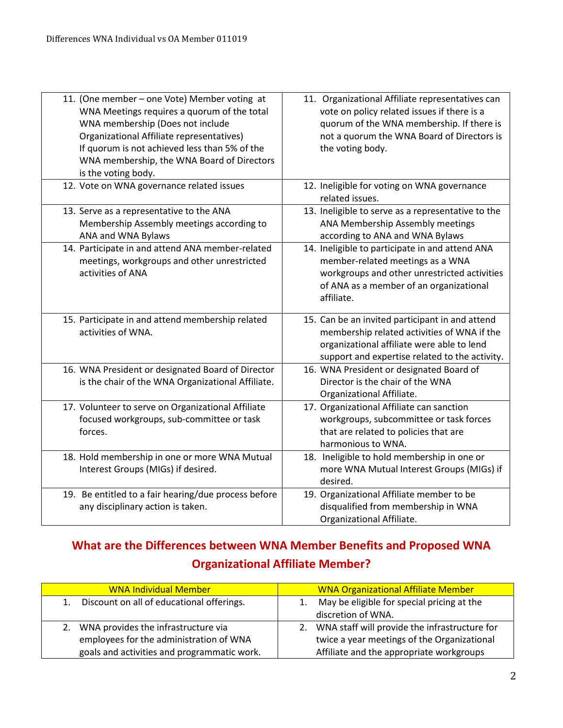| 11. (One member - one Vote) Member voting at<br>WNA Meetings requires a quorum of the total<br>WNA membership (Does not include<br>Organizational Affiliate representatives)<br>If quorum is not achieved less than 5% of the<br>WNA membership, the WNA Board of Directors<br>is the voting body. | 11. Organizational Affiliate representatives can<br>vote on policy related issues if there is a<br>quorum of the WNA membership. If there is<br>not a quorum the WNA Board of Directors is<br>the voting body. |
|----------------------------------------------------------------------------------------------------------------------------------------------------------------------------------------------------------------------------------------------------------------------------------------------------|----------------------------------------------------------------------------------------------------------------------------------------------------------------------------------------------------------------|
| 12. Vote on WNA governance related issues                                                                                                                                                                                                                                                          | 12. Ineligible for voting on WNA governance<br>related issues.                                                                                                                                                 |
| 13. Serve as a representative to the ANA<br>Membership Assembly meetings according to<br>ANA and WNA Bylaws                                                                                                                                                                                        | 13. Ineligible to serve as a representative to the<br>ANA Membership Assembly meetings<br>according to ANA and WNA Bylaws                                                                                      |
| 14. Participate in and attend ANA member-related<br>meetings, workgroups and other unrestricted<br>activities of ANA                                                                                                                                                                               | 14. Ineligible to participate in and attend ANA<br>member-related meetings as a WNA<br>workgroups and other unrestricted activities<br>of ANA as a member of an organizational<br>affiliate.                   |
| 15. Participate in and attend membership related<br>activities of WNA.                                                                                                                                                                                                                             | 15. Can be an invited participant in and attend<br>membership related activities of WNA if the<br>organizational affiliate were able to lend<br>support and expertise related to the activity.                 |
| 16. WNA President or designated Board of Director<br>is the chair of the WNA Organizational Affiliate.                                                                                                                                                                                             | 16. WNA President or designated Board of<br>Director is the chair of the WNA<br>Organizational Affiliate.                                                                                                      |
| 17. Volunteer to serve on Organizational Affiliate<br>focused workgroups, sub-committee or task<br>forces.                                                                                                                                                                                         | 17. Organizational Affiliate can sanction<br>workgroups, subcommittee or task forces<br>that are related to policies that are<br>harmonious to WNA.                                                            |
| 18. Hold membership in one or more WNA Mutual<br>Interest Groups (MIGs) if desired.                                                                                                                                                                                                                | 18. Ineligible to hold membership in one or<br>more WNA Mutual Interest Groups (MIGs) if<br>desired.                                                                                                           |
| 19. Be entitled to a fair hearing/due process before<br>any disciplinary action is taken.                                                                                                                                                                                                          | 19. Organizational Affiliate member to be<br>disqualified from membership in WNA<br>Organizational Affiliate.                                                                                                  |

## **What are the Differences between WNA Member Benefits and Proposed WNA Organizational Affiliate Member?**

| <b>WNA Individual Member</b>                    | <b>WNA Organizational Affiliate Member</b>       |
|-------------------------------------------------|--------------------------------------------------|
| Discount on all of educational offerings.<br>1. | May be eligible for special pricing at the       |
|                                                 | discretion of WNA.                               |
| 2. WNA provides the infrastructure via          | 2. WNA staff will provide the infrastructure for |
| employees for the administration of WNA         | twice a year meetings of the Organizational      |
| goals and activities and programmatic work.     | Affiliate and the appropriate workgroups         |